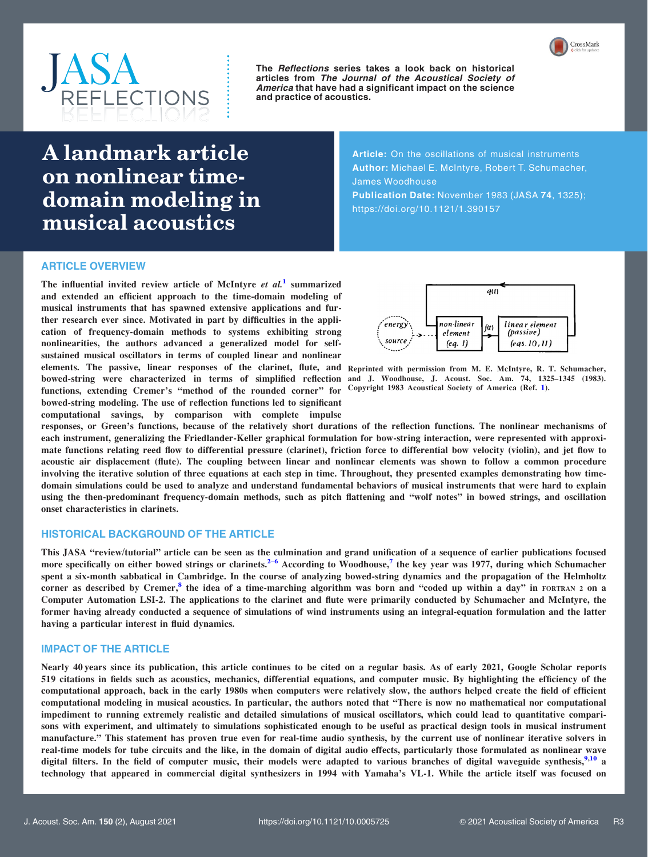



The Reflections series takes a look back on historical articles from The Journal of the Acoustical Society of America that have had a significant impact on the science and practice of acoustics.

# A landmark article on nonlinear timedomain modeling in musical acoustics

Article: On the oscillations of musical instruments Author: Michael E. McIntyre, Robert T. Schumacher, James Woodhouse Publication Date: November 1983 (JASA 74, 1325); https://doi.org/10.1121/1.390157

## ARTICLE OVERVIEW

The influential invited review article of McIntyre  $et \ al.<sup>1</sup>$  $et \ al.<sup>1</sup>$  $et \ al.<sup>1</sup>$  summarized and extended an efficient approach to the time-domain modeling of musical instruments that has spawned extensive applications and further research ever since. Motivated in part by difficulties in the application of frequency-domain methods to systems exhibiting strong nonlinearities, the authors advanced a generalized model for selfsustained musical oscillators in terms of coupled linear and nonlinear elements. The passive, linear responses of the clarinet, flute, and Reprinted with permission from M. E. McIntyre, R. T. Schumacher, bowed-string were characterized in terms of simplified reflection and J. Woodhouse, J. Acoust. Soc. Am. 74, 1325–1345 (1983). functions, extending Cremer's "method of the rounded corner" for bowed-string modeling. The use of reflection functions led to significant computational savings, by comparison with complete impulse



Copyright 1983 Acoustical Society of America (Ref. [1](#page-1-0)).

responses, or Green's functions, because of the relatively short durations of the reflection functions. The nonlinear mechanisms of each instrument, generalizing the Friedlander-Keller graphical formulation for bow-string interaction, were represented with approximate functions relating reed flow to differential pressure (clarinet), friction force to differential bow velocity (violin), and jet flow to acoustic air displacement (flute). The coupling between linear and nonlinear elements was shown to follow a common procedure involving the iterative solution of three equations at each step in time. Throughout, they presented examples demonstrating how timedomain simulations could be used to analyze and understand fundamental behaviors of musical instruments that were hard to explain using the then-predominant frequency-domain methods, such as pitch flattening and "wolf notes" in bowed strings, and oscillation onset characteristics in clarinets.

## HISTORICAL BACKGROUND OF THE ARTICLE

This JASA "review/tutorial" article can be seen as the culmination and grand unification of a sequence of earlier publications focused more specifically on either bowed strings or clarinets.<sup>[2–6](#page-1-0)</sup> According to Woodhouse,<sup>[7](#page-1-0)</sup> the key year was 1977, during which Schumacher spent a six-month sabbatical in Cambridge. In the course of analyzing bowed-string dynamics and the propagation of the Helmholtz corner as described by Cremer, $^8$  $^8$  the idea of a time-marching algorithm was born and "coded up within a day" in FORTRAN 2 on a Computer Automation LSI-2. The applications to the clarinet and flute were primarily conducted by Schumacher and McIntyre, the former having already conducted a sequence of simulations of wind instruments using an integral-equation formulation and the latter having a particular interest in fluid dynamics.

### IMPACT OF THE ARTICLE

Nearly 40 years since its publication, this article continues to be cited on a regular basis. As of early 2021, Google Scholar reports 519 citations in fields such as acoustics, mechanics, differential equations, and computer music. By highlighting the efficiency of the computational approach, back in the early 1980s when computers were relatively slow, the authors helped create the field of efficient computational modeling in musical acoustics. In particular, the authors noted that "There is now no mathematical nor computational impediment to running extremely realistic and detailed simulations of musical oscillators, which could lead to quantitative comparisons with experiment, and ultimately to simulations sophisticated enough to be useful as practical design tools in musical instrument manufacture." This statement has proven true even for real-time audio synthesis, by the current use of nonlinear iterative solvers in real-time models for tube circuits and the like, in the domain of digital audio effects, particularly those formulated as nonlinear wave digital filters. In the field of computer music, their models were adapted to various branches of digital waveguide synthesis,  $9,10$  a technology that appeared in commercial digital synthesizers in 1994 with Yamaha's VL-1. While the article itself was focused on